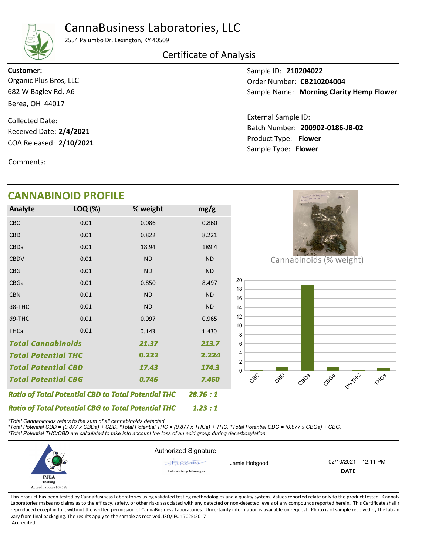# CannaBusiness Laboratories, LLC



2554 Palumbo Dr. Lexington, KY 40509

### Certificate of Analysis

682 W Bagley Rd, A6 Berea, OH 44017 Organic Plus Bros, LLC Customer:

COA Released: 2/10/2021 Collected Date: Received Date: 2/4/2021

Comments:

## CANNABINOID PROFILE

| <b>Analyte</b>             | LOQ (%)                                                    | % weight  | mg/g      |
|----------------------------|------------------------------------------------------------|-----------|-----------|
| <b>CBC</b>                 | 0.01                                                       | 0.086     | 0.860     |
| <b>CBD</b>                 | 0.01                                                       | 0.822     | 8.221     |
| CBDa                       | 0.01                                                       | 18.94     | 189.4     |
| <b>CBDV</b>                | 0.01                                                       | <b>ND</b> | <b>ND</b> |
| <b>CBG</b>                 | 0.01                                                       | <b>ND</b> | <b>ND</b> |
| <b>CBGa</b>                | 0.01                                                       | 0.850     | 8.497     |
| <b>CBN</b>                 | 0.01                                                       | <b>ND</b> | <b>ND</b> |
| d8-THC                     | 0.01                                                       | <b>ND</b> | <b>ND</b> |
| d9-THC                     | 0.01                                                       | 0.097     | 0.965     |
| <b>THCa</b>                | 0.01                                                       | 0.143     | 1.430     |
| <b>Total Cannabinoids</b>  | 213.7                                                      |           |           |
| <b>Total Potential THC</b> |                                                            | 0.222     | 2.224     |
| Total Potential CBD        | 17.43                                                      | 174.3     |           |
| <b>Total Potential CBG</b> | 0.746                                                      | 7.460     |           |
|                            | <b>Ratio of Total Potential CBD to Total Potential THC</b> | 28.76:1   |           |

Batch Number: 200902-0186-JB-02 Sample Name: Morning Clarity Hemp Flower External Sample ID:

Product Type: Flower 2/10/2021 Sample Type: Flower

Sample ID: 210204022

Order Number: CB210204004



\*Total Cannabinoids refers to the sum of all cannabinoids detected.

Ratio of Total Potential CBG to Total Potential THC

\*Total Potential CBD = (0.877 x CBDa) + CBD. \*Total Potential THC = (0.877 x THCa) + THC. \*Total Potential CBG = (0.877 x CBGa) + CBG.

\*Total Potential THC/CBD are calculated to take into account the loss of an acid group during decarboxylation.

|                       | <b>Authorized Signature</b> |                        |  |
|-----------------------|-----------------------------|------------------------|--|
|                       | Jamie Hobgood<br>HDP6001    | 12:11 PM<br>02/10/2021 |  |
| س                     | Laboratory Manager          | <b>DATE</b>            |  |
| <b>PJLA</b>           |                             |                        |  |
| Testing               |                             |                        |  |
| Accreditation #109588 |                             |                        |  |

1.23 : 1

This product has been tested by CannaBusiness Laboratories using validated testing methodologies and a quality system. Values reported relate only to the product tested. CannaB Laboratories makes no claims as to the efficacy, safety, or other risks associated with any detected or non-detected levels of any compounds reported herein. This Certificate shall r reproduced except in full, without the written permission of CannaBusiness Laboratories. Uncertainty information is available on request. Photo is of sample received by the lab an vary from final packaging. The results apply to the sample as received. ISO/IEC 17025:2017 Accredited.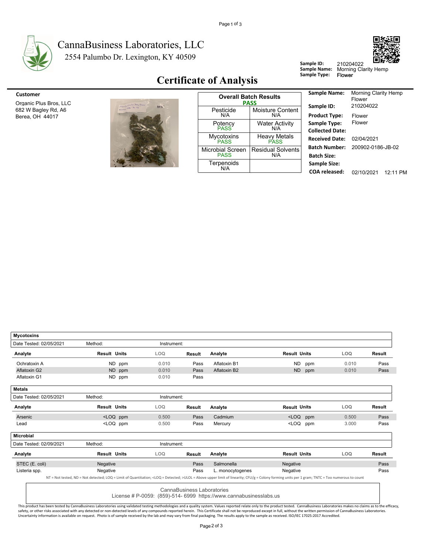

### 2554 Palumbo Dr. Lexington, KY 40509 CannaBusiness Laboratories, LLC



### Certificate of Analysis

| Customer |
|----------|
|          |
|          |



| Customer                               |                                  |                                        | <b>Overall Batch Results</b>       | <b>Sample Name:</b>                       |
|----------------------------------------|----------------------------------|----------------------------------------|------------------------------------|-------------------------------------------|
| Organic Plus Bros, LLC                 |                                  |                                        | <b>PASS</b>                        | Sample ID:                                |
| 682 W Bagley Rd, A6<br>Berea, OH 44017 | More 3 Clarity Hang Plane<br>10C | Pesticide<br>N/A                       | <b>Moisture Content</b><br>N/A     | <b>Product Type:</b>                      |
|                                        |                                  | Potency<br><b>PASS</b>                 | <b>Water Activity</b><br>N/A       | Sample Type:<br><b>Collected Date</b>     |
|                                        |                                  | <b>Mycotoxins</b><br><b>PASS</b>       | <b>Heavy Metals</b><br><b>PASS</b> | <b>Received Date</b>                      |
|                                        |                                  | <b>Microbial Screen</b><br><b>PASS</b> | <b>Residual Solvents</b><br>N/A    | <b>Batch Number</b><br><b>Batch Size:</b> |
|                                        |                                  | Terpenoids<br>N/A                      |                                    | <b>Sample Size:</b><br>COA released:      |

| Sample Name:           | <b>Morning Clarity Hemp</b><br>Flower |          |
|------------------------|---------------------------------------|----------|
| Sample ID:             | 210204022                             |          |
| <b>Product Type:</b>   | Flower                                |          |
| Sample Type:           | Flower                                |          |
| <b>Collected Date:</b> |                                       |          |
| <b>Received Date:</b>  | 02/04/2021                            |          |
| <b>Batch Number:</b>   | 200902-0186-JB-02                     |          |
| <b>Batch Size:</b>     |                                       |          |
| Sample Size:           |                                       |          |
| COA released:          | 02/10/2021                            | 12·11 PI |

Sample ID: 210204022<br>Sample Name: Morning Cla<br>Sample Type: Flower

| <b>Mycotoxins</b>       |                                                                                                                                                     |        |             |                            |                                                                                                                                                                                                            |                                                               |     |       |               |
|-------------------------|-----------------------------------------------------------------------------------------------------------------------------------------------------|--------|-------------|----------------------------|------------------------------------------------------------------------------------------------------------------------------------------------------------------------------------------------------------|---------------------------------------------------------------|-----|-------|---------------|
| Date Tested: 02/05/2021 | Method:                                                                                                                                             |        | Instrument: |                            |                                                                                                                                                                                                            |                                                               |     |       |               |
| Analyte                 | <b>Result Units</b>                                                                                                                                 |        | <b>LOQ</b>  | <b>Result</b>              | Analyte                                                                                                                                                                                                    | <b>Result Units</b>                                           |     | LOQ   | Result        |
| Ochratoxin A            |                                                                                                                                                     | ND ppm | 0.010       | Pass                       | Aflatoxin B1                                                                                                                                                                                               | ND.                                                           | ppm | 0.010 | Pass          |
| Aflatoxin G2            |                                                                                                                                                     | ND ppm | 0.010       | Pass                       | Aflatoxin B2                                                                                                                                                                                               | <b>ND</b>                                                     | ppm | 0.010 | Pass          |
| Aflatoxin G1            |                                                                                                                                                     | ND ppm | 0.010       | Pass                       |                                                                                                                                                                                                            |                                                               |     |       |               |
| <b>Metals</b>           |                                                                                                                                                     |        |             |                            |                                                                                                                                                                                                            |                                                               |     |       |               |
| Date Tested: 02/05/2021 | Method:                                                                                                                                             |        | Instrument: |                            |                                                                                                                                                                                                            |                                                               |     |       |               |
| Analyte                 | <b>Result Units</b>                                                                                                                                 |        | <b>LOQ</b>  | Result                     | Analyte                                                                                                                                                                                                    | <b>Result Units</b>                                           |     | LOQ   | <b>Result</b> |
| Arsenic                 | <loq ppm<="" td=""><td></td><td>0.500</td><td>Pass</td><td>Cadmium</td><td><loq ppm<="" td=""><td></td><td>0.500</td><td>Pass</td></loq></td></loq> |        | 0.500       | Pass                       | Cadmium                                                                                                                                                                                                    | <loq ppm<="" td=""><td></td><td>0.500</td><td>Pass</td></loq> |     | 0.500 | Pass          |
| Lead                    | <loq ppm<="" td=""><td></td><td>0.500</td><td>Pass</td><td>Mercury</td><td><loq< td=""><td>ppm</td><td>3.000</td><td>Pass</td></loq<></td></loq>    |        | 0.500       | Pass                       | Mercury                                                                                                                                                                                                    | <loq< td=""><td>ppm</td><td>3.000</td><td>Pass</td></loq<>    | ppm | 3.000 | Pass          |
| <b>Microbial</b>        |                                                                                                                                                     |        |             |                            |                                                                                                                                                                                                            |                                                               |     |       |               |
| Date Tested: 02/09/2021 | Method:                                                                                                                                             |        | Instrument: |                            |                                                                                                                                                                                                            |                                                               |     |       |               |
| Analyte                 | <b>Result Units</b>                                                                                                                                 |        | <b>LOQ</b>  | <b>Result</b>              | Analyte                                                                                                                                                                                                    | <b>Result Units</b>                                           |     | LOQ   | <b>Result</b> |
| STEC (E. coli)          | Negative                                                                                                                                            |        |             | Pass                       | Salmonella                                                                                                                                                                                                 | Negative                                                      |     |       | Pass          |
| Listeria spp.           | Negative                                                                                                                                            |        |             | Pass                       | L. monocytogenes                                                                                                                                                                                           | Negative                                                      |     |       | Pass          |
|                         |                                                                                                                                                     |        |             |                            | NT = Not tested, ND = Not detected; LOQ = Limit of Quantitation; <loq =="" detected;="">ULOL = Above upper limit of linearity; CFU/g = Colony forming units per 1 gram; TNTC = Too numerous to count</loq> |                                                               |     |       |               |
|                         |                                                                                                                                                     |        |             | CannaBusiness Laboratories | License # P-0059: (859)-514- 6999 https://www.cannabusinesslabs.us                                                                                                                                         |                                                               |     |       |               |

This product has been tested by CannaBusiness Laboratories using validated testing methodologies and a quality system. Values reported relate only to the product tested. CannaBusiness Laboratories makes no claims as to th Uncertainty information is available on request. Photo is of sample received by the lab and may vary from final packaging. The results apply to the sample as received. ISO/IEC 17025:2017 Accredited.